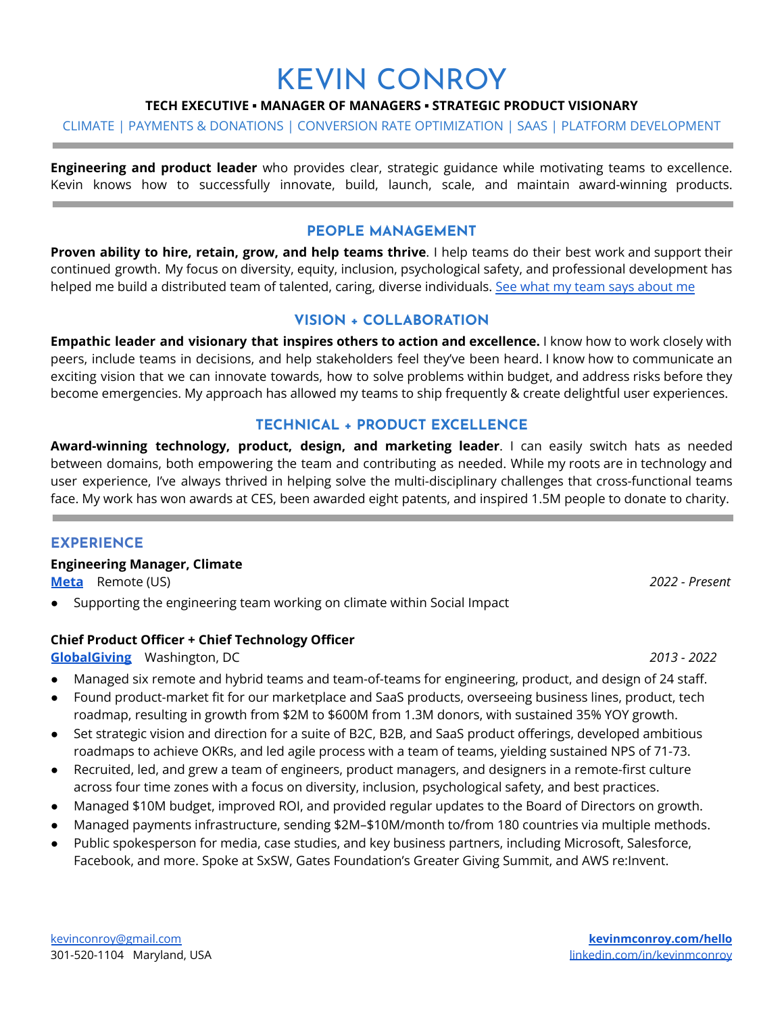# KEVIN CONROY

#### **TECH EXECUTIVE ▪ MANAGER OF MANAGERS ▪ STRATEGIC PRODUCT VISIONARY**

#### CLIMATE | PAYMENTS & DONATIONS | CONVERSION RATE OPTIMIZATION | SAAS | PLATFORM DEVELOPMENT

**Engineering and product leader** who provides clear, strategic guidance while motivating teams to excellence. Kevin knows how to successfully innovate, build, launch, scale, and maintain award-winning products.

#### **PEOPLE MANAGEMENT**

**Proven ability to hire, retain, grow, and help teams thrive**. I help teams do their best work and support their continued growth. My focus on diversity, equity, inclusion, psychological safety, and professional development has helped me build a distributed team of talented, caring, diverse individuals. See what my team says [about](https://www.linkedin.com/in/kevinmconroy/) me

#### **VISION + COLLABORATION**

**Empathic leader and visionary that inspires others to action and excellence.** I know how to work closely with peers, include teams in decisions, and help stakeholders feel they've been heard. I know how to communicate an exciting vision that we can innovate towards, how to solve problems within budget, and address risks before they become emergencies. My approach has allowed my teams to ship frequently & create delightful user experiences.

#### **TECHNICAL + PRODUCT EXCELLENCE**

**Award-winning technology, product, design, and marketing leader**. I can easily switch hats as needed between domains, both empowering the team and contributing as needed. While my roots are in technology and user experience, I've always thrived in helping solve the multi-disciplinary challenges that cross-functional teams face. My work has won awards at CES, been awarded eight patents, and inspired 1.5M people to donate to charity.

#### **EXPERIENCE**

**Engineering Manager, Climate**

**[Meta](https://sustainability.fb.com/climate/)** Remote (US) *2022 - Present*

Supporting the engineering team working on climate within Social Impact

#### **Chief Product Officer + Chief Technology Officer**

**[GlobalGiving](https://www.globalgiving.org/)** Washington, DC *2013 - 2022*

- Managed six remote and hybrid teams and team-of-teams for engineering, product, and design of 24 staff.
- Found product-market fit for our marketplace and SaaS products, overseeing business lines, product, tech roadmap, resulting in growth from \$2M to \$600M from 1.3M donors, with sustained 35% YOY growth.
- Set strategic vision and direction for a suite of B2C, B2B, and SaaS product offerings, developed ambitious roadmaps to achieve OKRs, and led agile process with a team of teams, yielding sustained NPS of 71-73.
- Recruited, led, and grew a team of engineers, product managers, and designers in a remote-first culture across four time zones with a focus on diversity, inclusion, psychological safety, and best practices.
- Managed \$10M budget, improved ROI, and provided regular updates to the Board of Directors on growth.
- Managed payments infrastructure, sending \$2M–\$10M/month to/from 180 countries via multiple methods.
- Public spokesperson for media, case studies, and key business partners, including Microsoft, Salesforce, Facebook, and more. Spoke at SxSW, Gates Foundation's Greater Giving Summit, and AWS re:Invent.